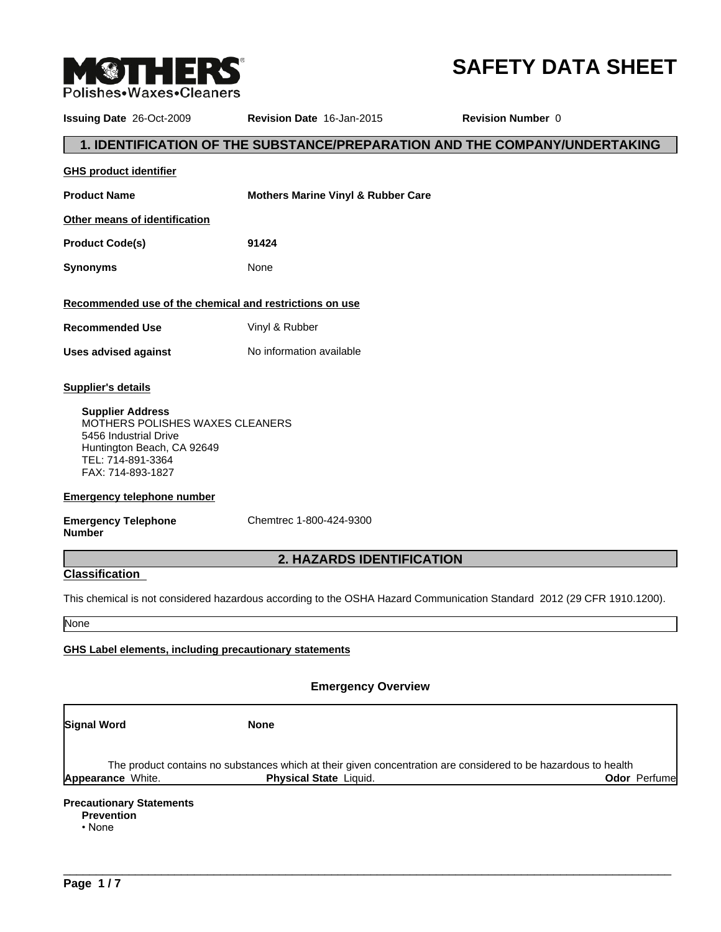

# **SAFETY DATA SHEET**

| <b>Issuing Date 26-Oct-2009</b>                                                                                                                                                          | <b>Revision Date 16-Jan-2015</b>              | <b>Revision Number 0</b>                                                                                               |
|------------------------------------------------------------------------------------------------------------------------------------------------------------------------------------------|-----------------------------------------------|------------------------------------------------------------------------------------------------------------------------|
|                                                                                                                                                                                          |                                               | 1. IDENTIFICATION OF THE SUBSTANCE/PREPARATION AND THE COMPANY/UNDERTAKING                                             |
| <b>GHS product identifier</b>                                                                                                                                                            |                                               |                                                                                                                        |
| <b>Product Name</b>                                                                                                                                                                      | <b>Mothers Marine Vinyl &amp; Rubber Care</b> |                                                                                                                        |
| Other means of identification                                                                                                                                                            |                                               |                                                                                                                        |
| <b>Product Code(s)</b>                                                                                                                                                                   | 91424                                         |                                                                                                                        |
| <b>Synonyms</b>                                                                                                                                                                          | None                                          |                                                                                                                        |
| Recommended use of the chemical and restrictions on use                                                                                                                                  |                                               |                                                                                                                        |
| <b>Recommended Use</b>                                                                                                                                                                   | Vinyl & Rubber                                |                                                                                                                        |
| <b>Uses advised against</b>                                                                                                                                                              | No information available                      |                                                                                                                        |
| <b>Supplier's details</b><br><b>Supplier Address</b><br>MOTHERS POLISHES WAXES CLEANERS<br>5456 Industrial Drive<br>Huntington Beach, CA 92649<br>TEL: 714-891-3364<br>FAX: 714-893-1827 |                                               |                                                                                                                        |
| <b>Emergency telephone number</b>                                                                                                                                                        |                                               |                                                                                                                        |
| <b>Emergency Telephone</b><br><b>Number</b>                                                                                                                                              | Chemtrec 1-800-424-9300                       |                                                                                                                        |
|                                                                                                                                                                                          | 2. HAZARDS IDENTIFICATION                     |                                                                                                                        |
| <b>Classification</b>                                                                                                                                                                    |                                               |                                                                                                                        |
|                                                                                                                                                                                          |                                               | This chemical is not considered hazardous according to the OSHA Hazard Communication Standard 2012 (29 CFR 1910.1200). |
| None                                                                                                                                                                                     |                                               |                                                                                                                        |
| <b>GHS Label elements, including precautionary statements</b>                                                                                                                            |                                               |                                                                                                                        |

# **Emergency Overview**

| Signal Word |                          | <b>None</b>                                                                                                                              |                      |
|-------------|--------------------------|------------------------------------------------------------------------------------------------------------------------------------------|----------------------|
|             | <b>Appearance White.</b> | The product contains no substances which at their given concentration are considered to be hazardous to health<br>Physical State Liquid. | <b>Odor</b> Perfumel |

 $\overline{\phantom{a}}$  ,  $\overline{\phantom{a}}$  ,  $\overline{\phantom{a}}$  ,  $\overline{\phantom{a}}$  ,  $\overline{\phantom{a}}$  ,  $\overline{\phantom{a}}$  ,  $\overline{\phantom{a}}$  ,  $\overline{\phantom{a}}$  ,  $\overline{\phantom{a}}$  ,  $\overline{\phantom{a}}$  ,  $\overline{\phantom{a}}$  ,  $\overline{\phantom{a}}$  ,  $\overline{\phantom{a}}$  ,  $\overline{\phantom{a}}$  ,  $\overline{\phantom{a}}$  ,  $\overline{\phantom{a}}$ 

•None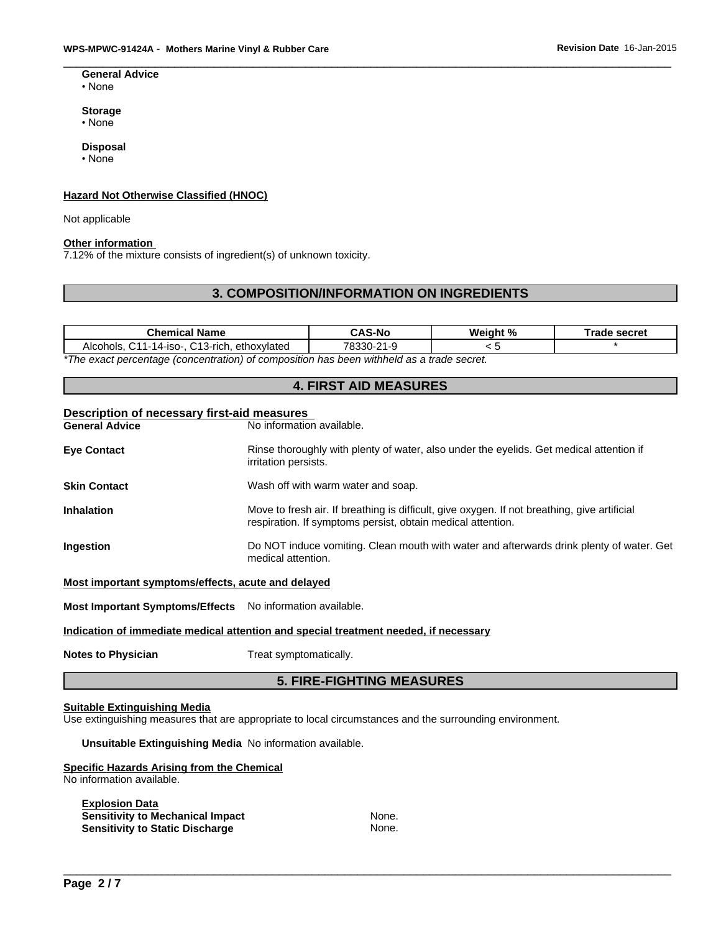#### **General Advice** •None

**Storage**

•None

# **Disposal**

•None

# **Hazard Not Otherwise Classified (HNOC)**

Not applicable

#### **Other information**

7.12% of the mixture consists of ingredient(s) of unknown toxicity.

# **3. COMPOSITION/INFORMATION ON INGREDIENTS**

| Chemical<br>Mame:                                                                        | <b>CAS-No</b> | We<br>$\mathbf{i}$ aht % | <b>⊺rade secret</b> |  |
|------------------------------------------------------------------------------------------|---------------|--------------------------|---------------------|--|
| ົາລ<br>$211 -$<br>C <sub>13</sub> -rich.<br>ethoxvlated<br>14-iso-.<br>Alcohols          | 78330-        |                          |                     |  |
| *The exect noncontana (appropriation) of composition has heap withhold as a trade secret |               |                          |                     |  |

*\*The exact percentage (concentration) of composition has been withheld as a trade secret.*

# **4. FIRST AID MEASURES**

# **Description of necessary first-aid measures**

**No information available.** 

| <b>Eye Contact</b>                                 | Rinse thoroughly with plenty of water, also under the eyelids. Get medical attention if<br>irritation persists.                                             |
|----------------------------------------------------|-------------------------------------------------------------------------------------------------------------------------------------------------------------|
| <b>Skin Contact</b>                                | Wash off with warm water and soap.                                                                                                                          |
| <b>Inhalation</b>                                  | Move to fresh air. If breathing is difficult, give oxygen. If not breathing, give artificial<br>respiration. If symptoms persist, obtain medical attention. |
| <b>Ingestion</b>                                   | Do NOT induce vomiting. Clean mouth with water and afterwards drink plenty of water. Get<br>medical attention.                                              |
| Most important symptoms/effects, acute and delayed |                                                                                                                                                             |

**Most Important Symptoms/Effects** No information available.

#### **Indication of immediate medical attention and special treatment needed, if necessary**

**Notes to Physician** Treat symptomatically.

# **5. FIRE-FIGHTING MEASURES**

#### **Suitable Extinguishing Media**

Use extinguishing measures that are appropriate to local circumstances and the surrounding environment.

**Unsuitable Extinguishing Media** No information available.

#### **Specific Hazards Arising from the Chemical** No information available.

| None. |  |
|-------|--|
| None. |  |
|       |  |
|       |  |
|       |  |
|       |  |
|       |  |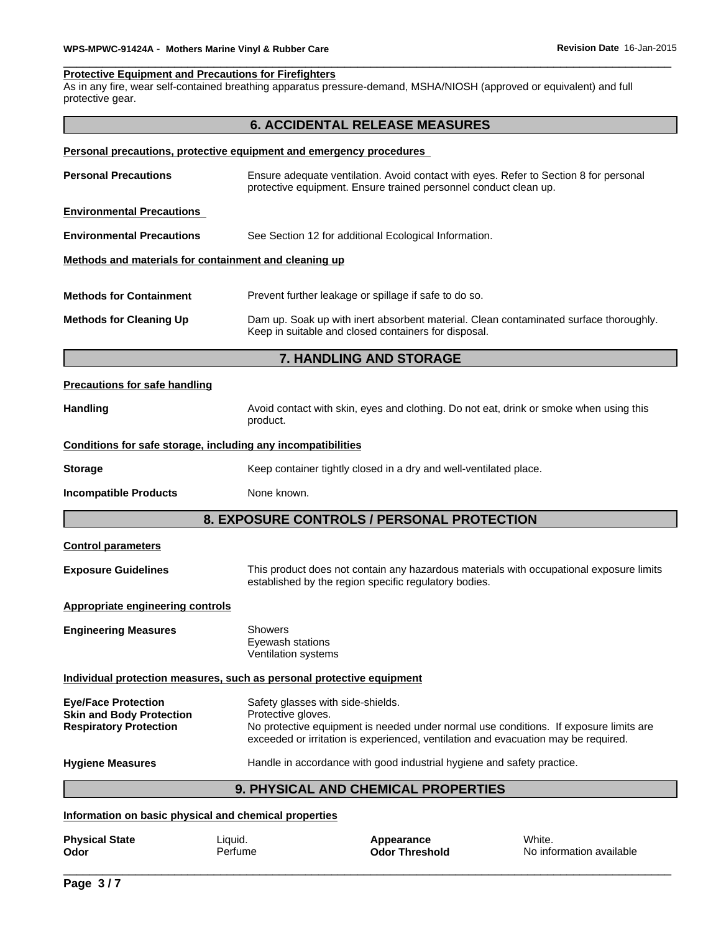# **Protective Equipment and Precautions for Firefighters**

As in any fire, wear self-contained breathing apparatus pressure-demand, MSHA/NIOSH (approved or equivalent) and full protective gear.

| Ensure adequate ventilation. Avoid contact with eyes. Refer to Section 8 for personal<br>Dam up. Soak up with inert absorbent material. Clean contaminated surface thoroughly. |
|--------------------------------------------------------------------------------------------------------------------------------------------------------------------------------|
|                                                                                                                                                                                |
|                                                                                                                                                                                |
|                                                                                                                                                                                |
|                                                                                                                                                                                |
|                                                                                                                                                                                |
|                                                                                                                                                                                |
|                                                                                                                                                                                |
|                                                                                                                                                                                |
|                                                                                                                                                                                |
|                                                                                                                                                                                |
| Avoid contact with skin, eyes and clothing. Do not eat, drink or smoke when using this                                                                                         |
|                                                                                                                                                                                |
|                                                                                                                                                                                |
|                                                                                                                                                                                |
|                                                                                                                                                                                |
|                                                                                                                                                                                |
| This product does not contain any hazardous materials with occupational exposure limits                                                                                        |
|                                                                                                                                                                                |
|                                                                                                                                                                                |
|                                                                                                                                                                                |
| No protective equipment is needed under normal use conditions. If exposure limits are<br>exceeded or irritation is experienced, ventilation and evacuation may be required.    |
|                                                                                                                                                                                |
|                                                                                                                                                                                |
|                                                                                                                                                                                |

# **Physical State Liquid.** Compare **Liquid.** Compare **Appearance** Minite. **Odor** Threshold **No information and Mysical State** Perfume \_\_\_\_\_\_\_\_\_\_\_\_\_\_\_\_\_\_\_\_\_\_\_\_\_\_\_\_\_\_\_\_\_\_\_\_\_\_\_\_\_\_\_\_\_\_\_\_\_\_\_\_\_\_\_\_\_\_\_\_\_\_\_\_\_\_\_\_\_\_\_\_\_\_\_\_\_\_\_\_\_\_\_\_\_\_\_\_\_\_\_\_\_ **Odor** Perfume **No information available**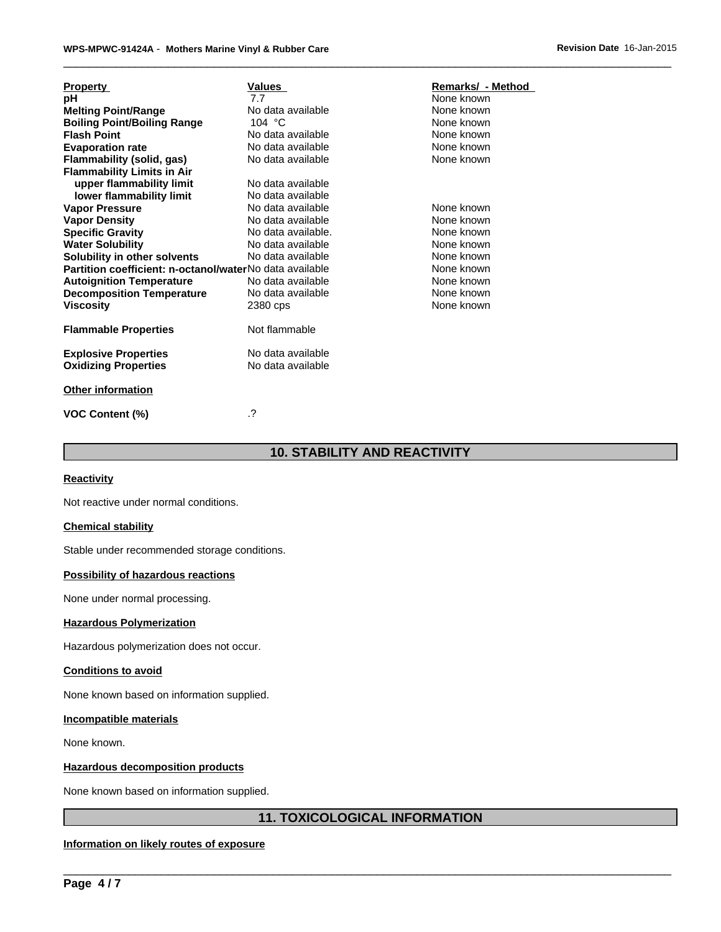| <b>Property</b>                                         | Values             | Remarks/ - Method |
|---------------------------------------------------------|--------------------|-------------------|
| рH                                                      | 7.7                | None known        |
| <b>Melting Point/Range</b>                              | No data available  | None known        |
| <b>Boiling Point/Boiling Range</b>                      | 104 $\degree$ C    | None known        |
| <b>Flash Point</b>                                      | No data available  | None known        |
| <b>Evaporation rate</b>                                 | No data available  | None known        |
| <b>Flammability (solid, gas)</b>                        | No data available  | None known        |
| <b>Flammability Limits in Air</b>                       |                    |                   |
| upper flammability limit                                | No data available  |                   |
| lower flammability limit                                | No data available  |                   |
| <b>Vapor Pressure</b>                                   | No data available  | None known        |
| <b>Vapor Density</b>                                    | No data available  | None known        |
| <b>Specific Gravity</b>                                 | No data available. | None known        |
| <b>Water Solubility</b>                                 | No data available  | None known        |
| Solubility in other solvents                            | No data available  | None known        |
| Partition coefficient: n-octanol/waterNo data available |                    | None known        |
| <b>Autoignition Temperature</b>                         | No data available  | None known        |
| <b>Decomposition Temperature</b>                        | No data available  | None known        |
| <b>Viscosity</b>                                        | 2380 cps           | None known        |
| <b>Flammable Properties</b>                             | Not flammable      |                   |
| <b>Explosive Properties</b>                             | No data available  |                   |
| <b>Oxidizing Properties</b>                             | No data available  |                   |
| <b>Other information</b>                                |                    |                   |
| <b>VOC Content (%)</b>                                  | $\cdot$ ?          |                   |

# **10. STABILITY AND REACTIVITY**

#### **Reactivity**

Not reactive under normal conditions.

#### **Chemical stability**

Stable under recommended storage conditions.

#### **Possibility of hazardous reactions**

None under normal processing.

### **Hazardous Polymerization**

Hazardous polymerization does not occur.

#### **Conditions to avoid**

None known based on information supplied.

# **Incompatible materials**

None known.

#### **Hazardous decomposition products**

None known based on information supplied.

# **11. TOXICOLOGICAL INFORMATION**

 $\overline{\phantom{a}}$  ,  $\overline{\phantom{a}}$  ,  $\overline{\phantom{a}}$  ,  $\overline{\phantom{a}}$  ,  $\overline{\phantom{a}}$  ,  $\overline{\phantom{a}}$  ,  $\overline{\phantom{a}}$  ,  $\overline{\phantom{a}}$  ,  $\overline{\phantom{a}}$  ,  $\overline{\phantom{a}}$  ,  $\overline{\phantom{a}}$  ,  $\overline{\phantom{a}}$  ,  $\overline{\phantom{a}}$  ,  $\overline{\phantom{a}}$  ,  $\overline{\phantom{a}}$  ,  $\overline{\phantom{a}}$ 

# **Information on likely routes of exposure**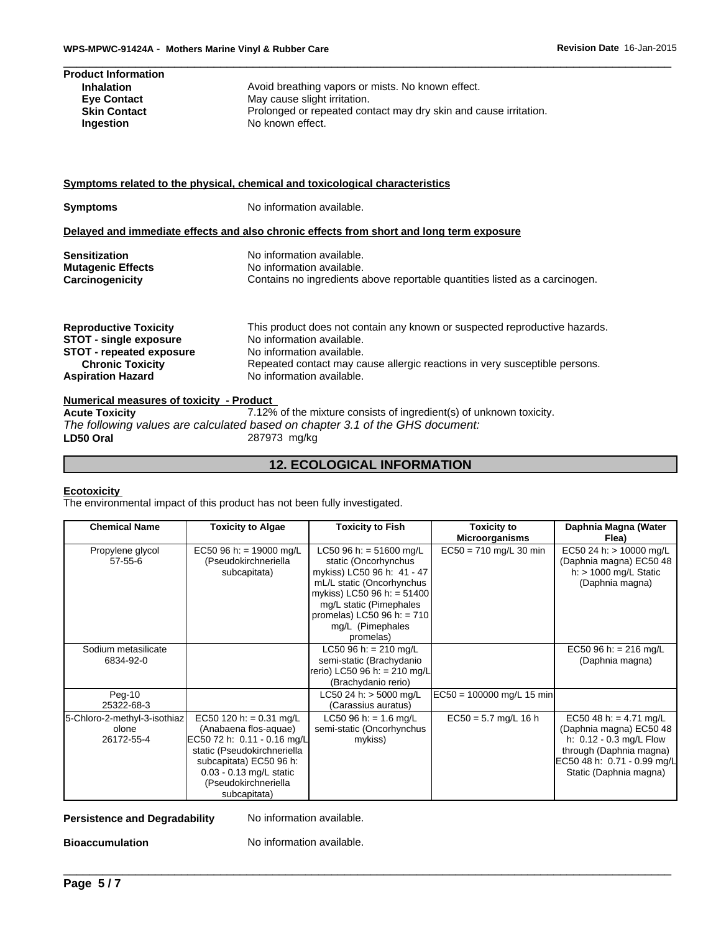| WPS-MPWC-91424A - Mothers Marine Vinyl & Rubber Care |                                                                  | Revision Date 16-Jan-2015 |
|------------------------------------------------------|------------------------------------------------------------------|---------------------------|
| <b>Product Information</b>                           |                                                                  |                           |
| <b>Inhalation</b>                                    | Avoid breathing vapors or mists. No known effect.                |                           |
| <b>Eye Contact</b>                                   | May cause slight irritation.                                     |                           |
| <b>Skin Contact</b>                                  | Prolonged or repeated contact may dry skin and cause irritation. |                           |
| <b>Ingestion</b>                                     | No known effect.                                                 |                           |

# **Symptoms related to the physical, chemical and toxicological characteristics**

| <b>Symptoms</b>                 | No information available.                                                                |
|---------------------------------|------------------------------------------------------------------------------------------|
|                                 | Delayed and immediate effects and also chronic effects from short and long term exposure |
| <b>Sensitization</b>            | No information available.                                                                |
| <b>Mutagenic Effects</b>        | No information available.                                                                |
| Carcinogenicity                 | Contains no ingredients above reportable quantities listed as a carcinogen.              |
| <b>Reproductive Toxicity</b>    | This product does not contain any known or suspected reproductive hazards.               |
| <b>STOT - single exposure</b>   | No information available.                                                                |
| <b>STOT - repeated exposure</b> | No information available.                                                                |
| <b>Chronic Toxicity</b>         | Repeated contact may cause allergic reactions in very susceptible persons.               |
| <b>Aspiration Hazard</b>        | No information available.                                                                |

### **Numerical measures of toxicity - Product**

| <b>Acute Toxicity</b> | 7.12% of the mixture consists of ingredient(s) of unknown toxicity.           |
|-----------------------|-------------------------------------------------------------------------------|
|                       | The following values are calculated based on chapter 3.1 of the GHS document: |
| LD50 Oral             | 287973 mg/kg                                                                  |

# **12. ECOLOGICAL INFORMATION**

#### **Ecotoxicity**

The environmental impact of this product has not been fully investigated.

| <b>Chemical Name</b>                                | <b>Toxicity to Algae</b>                                                                                                                                                                                       | <b>Toxicity to Fish</b>                                                                                                                                                                                                              | <b>Toxicity to</b><br><b>Microorganisms</b> | Daphnia Magna (Water<br>Flea)                                                                                                                                    |
|-----------------------------------------------------|----------------------------------------------------------------------------------------------------------------------------------------------------------------------------------------------------------------|--------------------------------------------------------------------------------------------------------------------------------------------------------------------------------------------------------------------------------------|---------------------------------------------|------------------------------------------------------------------------------------------------------------------------------------------------------------------|
| Propylene glycol<br>$57 - 55 - 6$                   | EC50 96 h: = 19000 mg/L<br>(Pseudokirchneriella<br>subcapitata)                                                                                                                                                | LC50 96 h: = $51600$ mg/L<br>static (Oncorhynchus<br>mykiss) LC50 96 h: 41 - 47<br>mL/L static (Oncorhynchus<br>mykiss) LC50 96 h: = 51400<br>mg/L static (Pimephales<br>promelas) LC50 96 h: = 710<br>mg/L (Pimephales<br>promelas) | $EC50 = 710$ mg/L 30 min                    | EC50 24 h: > 10000 mg/L<br>(Daphnia magna) EC50 48<br>h: $> 1000$ mg/L Static<br>(Daphnia magna)                                                                 |
| Sodium metasilicate<br>6834-92-0                    |                                                                                                                                                                                                                | LC50 96 h: = 210 mg/L<br>semi-static (Brachydanio<br>rerio) LC50 96 h: = 210 mg/L<br>(Brachydanio rerio)                                                                                                                             |                                             | EC50 96 h: = 216 mg/L<br>(Daphnia magna)                                                                                                                         |
| $Peq-10$<br>25322-68-3                              |                                                                                                                                                                                                                | LC50 24 h: $>$ 5000 mg/L<br>(Carassius auratus)                                                                                                                                                                                      | EC50 = 100000 mg/L 15 min                   |                                                                                                                                                                  |
| 5-Chloro-2-methyl-3-isothiaz<br>olone<br>26172-55-4 | EC50 120 h: = $0.31$ mg/L<br>(Anabaena flos-aquae)<br>EC50 72 h: 0.11 - 0.16 mg/L<br>static (Pseudokirchneriella<br>subcapitata) EC50 96 h:<br>0.03 - 0.13 mg/L static<br>(Pseudokirchneriella<br>subcapitata) | LC50 96 h: = 1.6 mg/L<br>semi-static (Oncorhynchus<br>mykiss)                                                                                                                                                                        | $EC50 = 5.7$ mg/L 16 h                      | EC50 48 h: = 4.71 mg/L<br>(Daphnia magna) EC50 48<br>h: 0.12 - 0.3 mg/L Flow<br>through (Daphnia magna)<br>EC50 48 h: 0.71 - 0.99 mg/L<br>Static (Daphnia magna) |

# **Persistence and Degradability** No information available.

**Bioaccumulation** No information available. \_\_\_\_\_\_\_\_\_\_\_\_\_\_\_\_\_\_\_\_\_\_\_\_\_\_\_\_\_\_\_\_\_\_\_\_\_\_\_\_\_\_\_\_\_\_\_\_\_\_\_\_\_\_\_\_\_\_\_\_\_\_\_\_\_\_\_\_\_\_\_\_\_\_\_\_\_\_\_\_\_\_\_\_\_\_\_\_\_\_\_\_\_ No information available.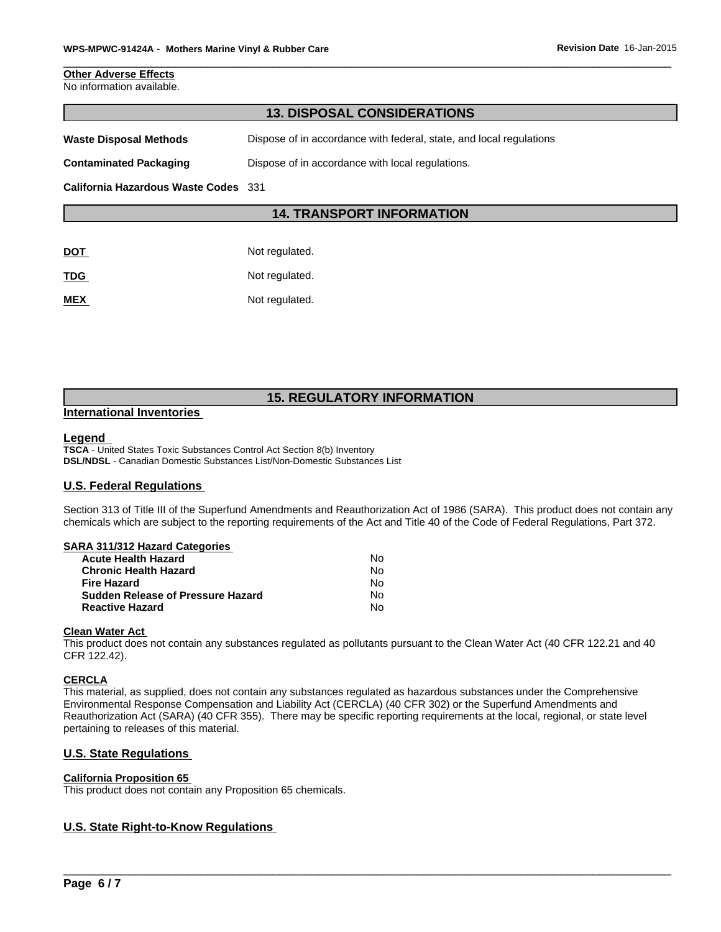#### **Other Adverse Effects** No information available.

| <b>13. DISPOSAL CONSIDERATIONS</b>   |                                                                     |  |
|--------------------------------------|---------------------------------------------------------------------|--|
| Waste Disposal Methods               | Dispose of in accordance with federal, state, and local regulations |  |
| Contaminated Packaging               | Dispose of in accordance with local regulations.                    |  |
| California Hazardous Waste Codes 331 |                                                                     |  |
|                                      | <b>14. TRANSPORT INFORMATION</b>                                    |  |
|                                      |                                                                     |  |
| DOT                                  | Not regulated.                                                      |  |
| TDG                                  | Not regulated.                                                      |  |

**MEX** Not regulated.

# **15. REGULATORY INFORMATION**

# **International Inventories**

#### **Legend**

**TSCA** - United States Toxic Substances Control Act Section 8(b) Inventory **DSL/NDSL** - Canadian Domestic Substances List/Non-Domestic Substances List

# **U.S. Federal Regulations**

Section 313 of Title III of the Superfund Amendments and Reauthorization Act of 1986 (SARA). This product does not contain any chemicals which are subject to the reporting requirements of the Act and Title 40 of the Code of Federal Regulations, Part 372.

# **SARA 311/312 Hazard Categories**

| <b>Acute Health Hazard</b>               | Nο  |
|------------------------------------------|-----|
| <b>Chronic Health Hazard</b>             | N٥  |
| <b>Fire Hazard</b>                       | N٥  |
| <b>Sudden Release of Pressure Hazard</b> | No. |
| <b>Reactive Hazard</b>                   | No  |

#### **Clean Water Act**

This product does not contain any substances regulated as pollutants pursuant to the Clean Water Act (40 CFR 122.21 and 40 CFR 122.42).

# **CERCLA**

This material, as supplied, does not contain any substances regulated as hazardous substances under the Comprehensive Environmental Response Compensation and Liability Act (CERCLA) (40 CFR 302) or the Superfund Amendments and Reauthorization Act (SARA) (40 CFR 355). There may be specific reporting requirements at the local, regional, or state level pertaining to releases of this material.

 $\overline{\phantom{a}}$  ,  $\overline{\phantom{a}}$  ,  $\overline{\phantom{a}}$  ,  $\overline{\phantom{a}}$  ,  $\overline{\phantom{a}}$  ,  $\overline{\phantom{a}}$  ,  $\overline{\phantom{a}}$  ,  $\overline{\phantom{a}}$  ,  $\overline{\phantom{a}}$  ,  $\overline{\phantom{a}}$  ,  $\overline{\phantom{a}}$  ,  $\overline{\phantom{a}}$  ,  $\overline{\phantom{a}}$  ,  $\overline{\phantom{a}}$  ,  $\overline{\phantom{a}}$  ,  $\overline{\phantom{a}}$ 

# **U.S. State Regulations**

#### **California Proposition 65**

This product does not contain any Proposition 65 chemicals.

# **U.S. State Right-to-Know Regulations**